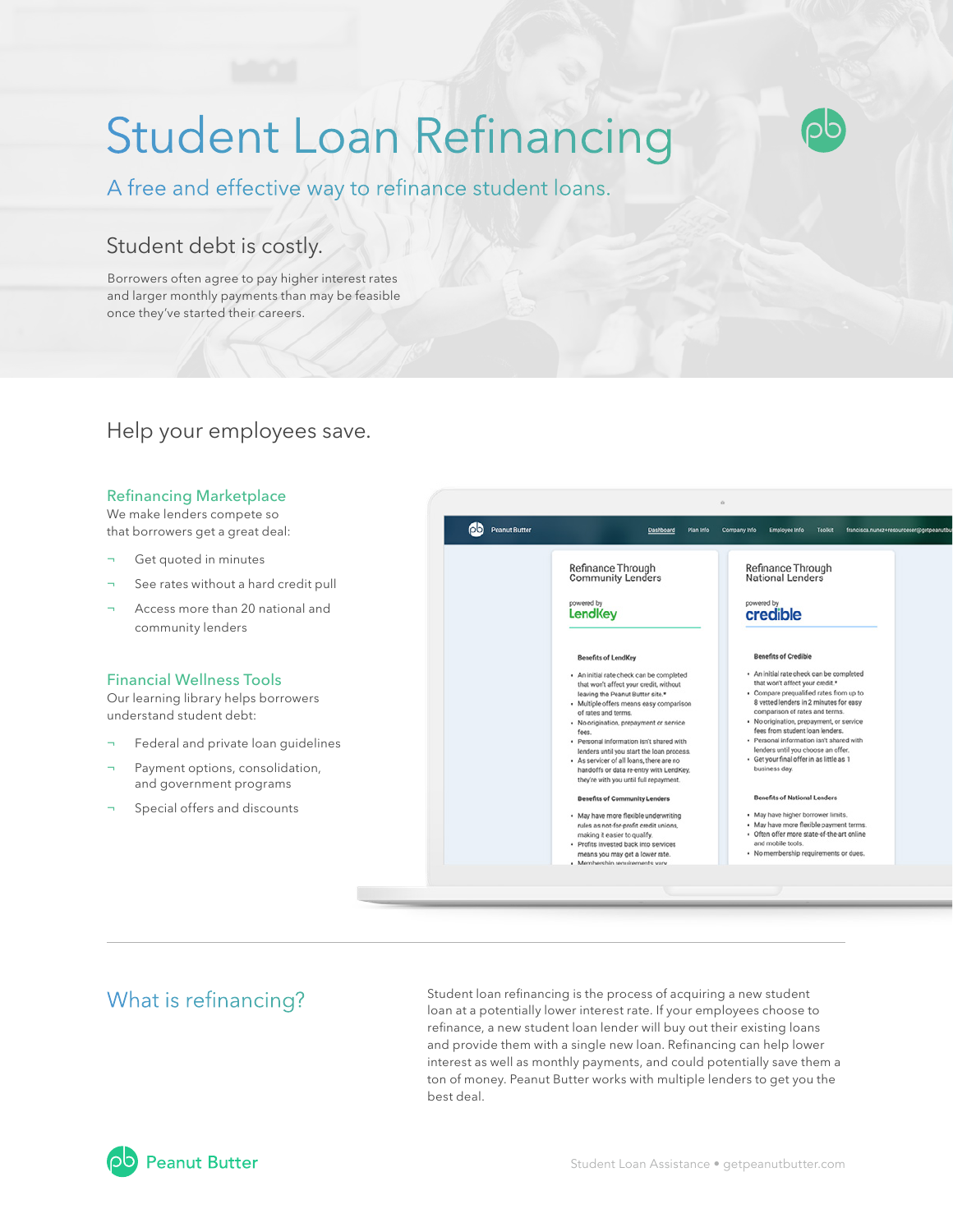# Student Loan Refinancing



A free and effective way to refinance student loans.

# Student debt is costly.

Borrowers often agree to pay higher interest rates and larger monthly payments than may be feasible once they've started their careers.

# Help your employees save.

#### Refinancing Marketplace

We make lenders compete so that borrowers get a great deal:

- Get quoted in minutes
- See rates without a hard credit pull
- Access more than 20 national and community lenders

### Financial Wellness Tools

Our learning library helps borrowers understand student debt:

- Federal and private loan quidelines
- Payment options, consolidation, and government programs
- Special offers and discounts



What is refinancing?<br>
Student loan refinancing is the process of acquiring a new student loan at a potentially lower interest rate. If your employees choose to refinance, a new student loan lender will buy out their existing loans and provide them with a single new loan. Refinancing can help lower interest as well as monthly payments, and could potentially save them a ton of money. Peanut Butter works with multiple lenders to get you the best deal.